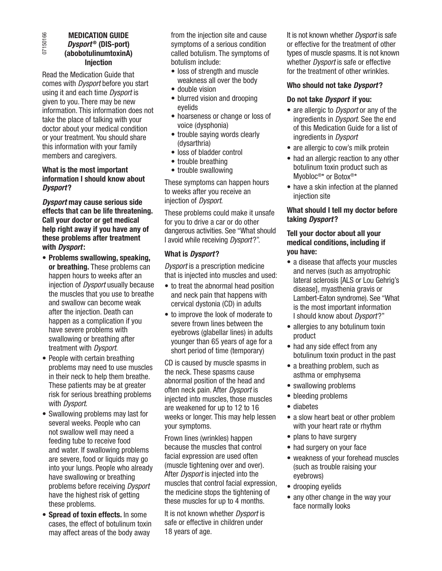# 07150166 07150166

## MEDICATION GUIDE *Dysport* ® (DIS-port) (abobotulinumtoxinA) **Injection**

Read the Medication Guide that comes with *Dysport* before you start using it and each time *Dysport* is given to you. There may be new information. This information does not take the place of talking with your doctor about your medical condition or your treatment. You should share this information with your family members and caregivers.

## What is the most important information I should know about *Dysport* ?

*Dysport* may cause serious side effects that can be life threatening. Call your doctor or get medical help right away if you have any of these problems after treatment with *Dysport* :

- Problems swallowing, speaking, or breathing. These problems can happen hours to weeks after an injection of *Dysport* usually because the muscles that you use to breathe and swallow can become weak after the injection. Death can happen as a complication if you have severe problems with swallowing or breathing after treatment with *Dysport*.
- People with certain breathing problems may need to use muscles in their neck to help them breathe. These patients may be at greater risk for serious breathing problems with *Dysport*.
- Swallowing problems may last for several weeks. People who can not swallow well may need a feeding tube to receive food and water. If swallowing problems are severe, food or liquids may go into your lungs. People who already have swallowing or breathing problems before receiving *Dysport* have the highest risk of getting these problems.
- Spread of toxin effects. In some cases, the effect of botulinum toxin may affect areas of the body away

from the injection site and cause symptoms of a serious condition called botulism. The symptoms of botulism include:

- loss of strength and muscle weakness all over the body
- double vision
- blurred vision and drooping eyelids
- hoarseness or change or loss of voice (dysphonia)
- trouble saying words clearly (dysarthria)
- loss of bladder control
- trouble breathing
- trouble swallowing

These symptoms can happen hours to weeks after you receive an injection of *Dysport*.

These problems could make it unsafe for you to drive a car or do other dangerous activities. See "What should I avoid while receiving *Dysport* ?".

# What is *Dysport* ?

*Dysport* is a prescription medicine that is injected into muscles and used:

- to treat the abnormal head position and neck pain that happens with cervical dystonia (CD) in adults
- to improve the look of moderate to severe frown lines between the eyebrows (glabellar lines) in adults younger than 65 years of age for a short period of time (temporary)

CD is caused by muscle spasms in the neck. These spasms cause abnormal position of the head and often neck pain. After *Dysport* is injected into muscles, those muscles are weakened for up to 12 to 16 weeks or longer. This may help lessen your symptoms.

Frown lines (wrinkles) happen because the muscles that control facial expression are used often (muscle tightening over and over). After *Dysport* is injected into the muscles that control facial expression, the medicine stops the tightening of these muscles for up to 4 months.

It is not known whether *Dysport* is safe or effective in children under 18 years of age.

It is not known whether *Dysport* is safe or effective for the treatment of other types of muscle spasms. It is not known whether *Dysport* is safe or effective for the treatment of other wrinkles.

# Who should not take *Dysport* ?

# Do not take *Dysport* if you:

- are allergic to *Dysport* or any of the ingredients in *Dysport*. See the end of this Medication Guide for a list of ingredients in *Dysport*
- are allergic to cow's milk protein
- had an allergic reaction to any other botulinum toxin product such as Myobloc®\* or Botox®\*
- have a skin infection at the planned injection site

# What should I tell my doctor before taking *Dysport* ?

## Tell your doctor about all your medical conditions, including if you have:

- a disease that affects your muscles and nerves (such as amyotrophic lateral sclerosis [ALS or Lou Gehrig's disease], myasthenia gravis or Lambert-Eaton syndrome). See "What is the most important information I should know about *Dysport* ?"
- allergies to any botulinum toxin product
- had any side effect from any botulinum toxin product in the past
- a breathing problem, such as asthma or emphysema
- swallowing problems
- • bleeding problems
- diabetes
- a slow heart beat or other problem with your heart rate or rhythm
- plans to have surgery
- had surgery on your face
- weakness of your forehead muscles (such as trouble raising your eyebrows)
- drooping eyelids
- any other change in the way your face normally looks